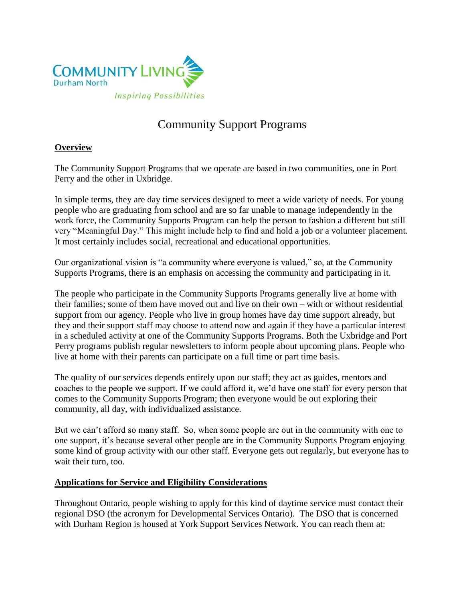

# Community Support Programs

# **Overview**

The Community Support Programs that we operate are based in two communities, one in Port Perry and the other in Uxbridge.

In simple terms, they are day time services designed to meet a wide variety of needs. For young people who are graduating from school and are so far unable to manage independently in the work force, the Community Supports Program can help the person to fashion a different but still very "Meaningful Day." This might include help to find and hold a job or a volunteer placement. It most certainly includes social, recreational and educational opportunities.

Our organizational vision is "a community where everyone is valued," so, at the Community Supports Programs, there is an emphasis on accessing the community and participating in it.

The people who participate in the Community Supports Programs generally live at home with their families; some of them have moved out and live on their own – with or without residential support from our agency. People who live in group homes have day time support already, but they and their support staff may choose to attend now and again if they have a particular interest in a scheduled activity at one of the Community Supports Programs. Both the Uxbridge and Port Perry programs publish regular newsletters to inform people about upcoming plans. People who live at home with their parents can participate on a full time or part time basis.

The quality of our services depends entirely upon our staff; they act as guides, mentors and coaches to the people we support. If we could afford it, we'd have one staff for every person that comes to the Community Supports Program; then everyone would be out exploring their community, all day, with individualized assistance.

But we can't afford so many staff. So, when some people are out in the community with one to one support, it's because several other people are in the Community Supports Program enjoying some kind of group activity with our other staff. Everyone gets out regularly, but everyone has to wait their turn, too.

### **Applications for Service and Eligibility Considerations**

Throughout Ontario, people wishing to apply for this kind of daytime service must contact their regional DSO (the acronym for Developmental Services Ontario). The DSO that is concerned with Durham Region is housed at York Support Services Network. You can reach them at: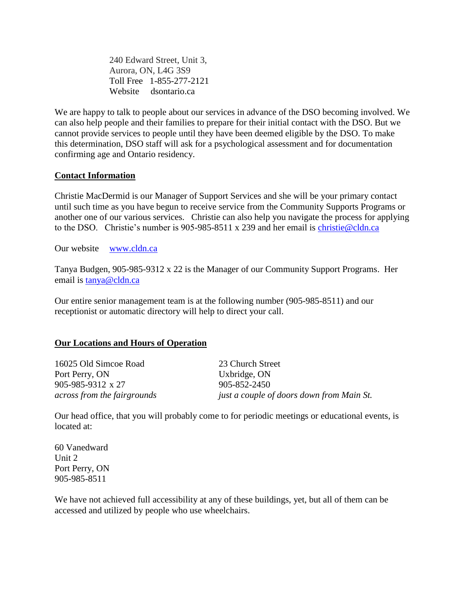240 Edward Street, Unit 3, Aurora, ON, L4G 3S9 Toll Free 1-855-277-2121 Website dsontario.ca

We are happy to talk to people about our services in advance of the DSO becoming involved. We can also help people and their families to prepare for their initial contact with the DSO. But we cannot provide services to people until they have been deemed eligible by the DSO. To make this determination, DSO staff will ask for a psychological assessment and for documentation confirming age and Ontario residency.

## **Contact Information**

Christie MacDermid is our Manager of Support Services and she will be your primary contact until such time as you have begun to receive service from the Community Supports Programs or another one of our various services. Christie can also help you navigate the process for applying to the DSO. Christie's number is 905-985-8511 x 239 and her email is [christie@cldn.ca](mailto:christie@cldn.ca)

Our website [www.cldn.](http://www.cldn/)ca

Tanya Budgen, 905-985-9312 x 22 is the Manager of our Community Support Programs. Her email is [tanya@cldn.ca](mailto:tanya@cldn.ca)

Our entire senior management team is at the following number (905-985-8511) and our receptionist or automatic directory will help to direct your call.

### **Our Locations and Hours of Operation**

16025 Old Simcoe Road 23 Church Street Port Perry, ON Uxbridge, ON 905-985-9312 x 27 905-852-2450

*across from the fairgrounds just a couple of doors down from Main St.*

Our head office, that you will probably come to for periodic meetings or educational events, is located at:

60 Vanedward Unit 2 Port Perry, ON 905-985-8511

We have not achieved full accessibility at any of these buildings, yet, but all of them can be accessed and utilized by people who use wheelchairs.